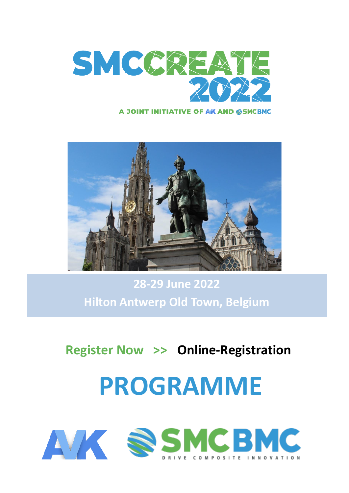

## **NT INITIATIVE OF AK AND SAMCBMC**



**28-29 June 2022 Hilton Antwerp Old Town, Belgium**

# **[Register Now >>](https://www.avk-tv.de/index.php?cnt=articles/110) [Online-Registration](https://www.avk-tv.de/index.php?cnt=articles/110)**

# **PROGRAMME**

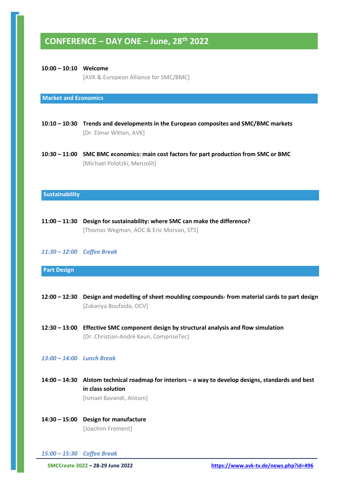# **CONFERENCE – DAY ONE – June, 28 th 2022**

#### **10:00 – 10:10 Welcome**

[AVK & European Alliance for SMC/BMC]

#### **Market and Economics**

- **10:10 – 10:30 Trends and developments in the European composites and SMC/BMC markets** [Dr. Elmar Witten, AVK]
- **10:30 – 11:00 SMC BMC economics: main cost factors for part production from SMC or BMC** [Michael Polotzki, Menzolit]

#### **Sustainability**

**11:00 – 11:30 Design for sustainability: where SMC can make the difference?** [Thomas Wegman, AOC & Eric Morvan, STS]

#### *11:30 – 12:00 Coffee Break*

#### **Part Design**

- **12:00 – 12:30 Design and modelling of sheet moulding compounds- from material cards to part design** [Zakariya Boufaida, OCV]
- **12:30 – 13:00 Effective SMC component design by structural analysis and flow simulation** [Dr. Christian-André Keun, CompriseTec]

#### *13:00 – 14:00 Lunch Break*

- **14:00 – 14:30 Alstom technical roadmap for interiors – a way to develop designs, standards and best in class solution** [Ismael Bavandi, Alstom]
- **14:30 – 15:00 Design for manufacture** [Joachim Froment]

*15:00 – 15:30 Coffee Break*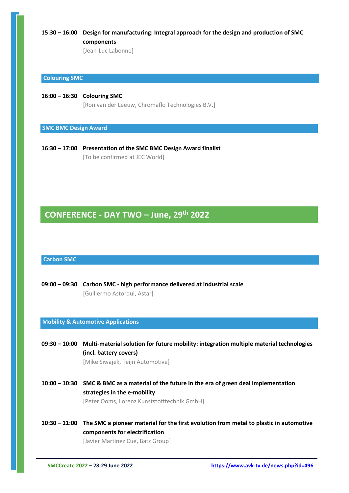**15:30 – 16:00 Design for manufacturing: Integral approach for the design and production of SMC components**

[Jean-Luc Labonne]

#### **Colouring SMC**

**16:00 – 16:30 Colouring SMC** [Ron van der Leeuw, Chromaflo Technologies B.V.]

**SMC BMC Design Award**

**16:30 – 17:00 Presentation of the SMC BMC Design Award finalist** [To be confirmed at JEC World]

# **CONFERENCE - DAY TWO – June, 29 th 2022**

#### **Carbon SMC**

**09:00 – 09:30 Carbon SMC - high performance delivered at industrial scale** [Guillermo Astorqui, Astar]

#### **Mobility & Automotive Applications**

**09:30 – 10:00 Multi-material solution for future mobility: integration multiple material technologies (incl. battery covers)** [Mike Siwajek, Teijn Automotive]

- **10:00 – 10:30 SMC & BMC as a material of the future in the era of green deal implementation strategies in the e-mobility** [Peter Ooms, Lorenz Kunststofftechnik GmbH]
- **10:30 – 11:00 The SMC a pioneer material for the first evolution from metal to plastic in automotive components for electrification**

[Javier Martinez Cue, Batz Group]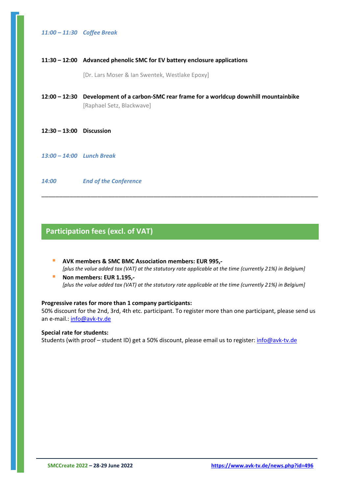#### *11:00 – 11:30 Coffee Break*

#### **11:30 – 12:00 Advanced phenolic SMC for EV battery enclosure applications**

[Dr. Lars Moser & Ian Swentek, Westlake Epoxy]

- **12:00 – 12:30 Development of a carbon-SMC rear frame for a worldcup downhill mountainbike** [Raphael Setz, Blackwave]
- **12:30 – 13:00 Discussion**
- *13:00 – 14:00 Lunch Break*

*14:00 End of the Conference*

# **Participation fees (excl. of VAT)**

▪ **AVK members & SMC BMC Association members: EUR 995,-** *[plus the value added tax (VAT) at the statutory rate applicable at the time (currently 21%) in Belgium]*

\_\_\_\_\_\_\_\_\_\_\_\_\_\_\_\_\_\_\_\_\_\_\_\_\_\_\_\_\_\_\_\_\_\_\_\_\_\_\_\_\_\_\_\_\_\_\_\_\_\_\_\_\_\_\_\_\_\_\_\_\_\_\_\_\_\_\_\_\_\_\_\_\_\_\_\_\_\_\_

**■** Non members: EUR 1.195,-*[plus the value added tax (VAT) at the statutory rate applicable at the time (currently 21%) in Belgium]*

#### **Progressive rates for more than 1 company participants:**

50% discount for the 2nd, 3rd, 4th etc. participant. To register more than one participant, please send us an e-mail.[: info@avk-tv.de](mailto:info@avk-tv.de)

#### **Special rate for students:**

Students (with proof – student ID) get a 50% discount, please email us to register: [info@avk-tv.de](mailto:info@avk-tv.de)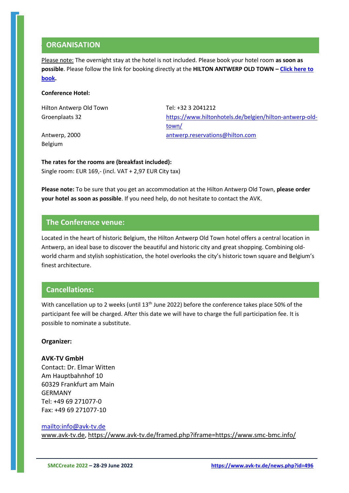#### The attendance fee includes Conference documentation, lunch, drinks during breaks and dinner. **ORGANISATION**

Please note: The overnight stay at the hotel is not included. Please book your hotel room **as soon as possible**. Please follow the link for booking directly at the **HILTON ANTWERP OLD TOWN – [Click here](https://nam02.safelinks.protection.outlook.com/?url=http%3A%2F%2Feventsathilton.com%2Flink%2F62027b929d606df0e5e955c9&data=04%7C01%7Calexia.dewinter%40hilton.com%7C177b52eac7524e84ddaf08d9eb0dcd77%7C660292d2cfd54a3db7a7e8f7ee458a0a%7C0%7C0%7C637799266781927949%7CUnknown%7CTWFpbGZsb3d8eyJWIjoiMC4wLjAwMDAiLCJQIjoiV2luMzIiLCJBTiI6Ik1haWwiLCJXVCI6Mn0%3D%7C3000&sdata=YitaczqfYShA7C%2FXoBoIIVPkOWEyy9z4ETtwdmtvdDc%3D&reserved=0) to [book.](https://nam02.safelinks.protection.outlook.com/?url=http%3A%2F%2Feventsathilton.com%2Flink%2F62027b929d606df0e5e955c9&data=04%7C01%7Calexia.dewinter%40hilton.com%7C177b52eac7524e84ddaf08d9eb0dcd77%7C660292d2cfd54a3db7a7e8f7ee458a0a%7C0%7C0%7C637799266781927949%7CUnknown%7CTWFpbGZsb3d8eyJWIjoiMC4wLjAwMDAiLCJQIjoiV2luMzIiLCJBTiI6Ik1haWwiLCJXVCI6Mn0%3D%7C3000&sdata=YitaczqfYShA7C%2FXoBoIIVPkOWEyy9z4ETtwdmtvdDc%3D&reserved=0)**

#### **Conference Hotel:**

Hilton Antwerp Old Town Tel: +32 3 2041212

Groenplaats 32 [https://www.hiltonhotels.de/belgien/hilton-antwerp-old](https://www.hiltonhotels.de/belgien/hilton-antwerp-old-town/)[town/](https://www.hiltonhotels.de/belgien/hilton-antwerp-old-town/) Antwerp, 2000 [antwerp.reservations@hilton.com](mailto:antwerp.reservations@hilton.com)

Belgium

**The rates for the rooms are (breakfast included):** Single room: EUR 169,- (incl. VAT + 2,97 EUR City tax)

**Please note:** To be sure that you get an accommodation at the Hilton Antwerp Old Town, **please order your hotel as soon as possible**. If you need help, do not hesitate to contact the AVK.

## **The Conference venue:**

Located in the heart of historic Belgium, the Hilton Antwerp Old Town hotel offers a central location in Antwerp, an ideal base to discover the beautiful and historic city and great shopping. Combining oldworld charm and stylish sophistication, the hotel overlooks the city's historic town square and Belgium's finest architecture.

# **Cancellations:**

With cancellation up to 2 weeks (until 13<sup>th</sup> June 2022) before the conference takes place 50% of the participant fee will be charged. After this date we will have to charge the full participation fee. It is possible to nominate a substitute.

#### **Organizer:**

#### **AVK-TV GmbH**

Contact: Dr. Elmar Witten Am Hauptbahnhof 10 60329 Frankfurt am Main GERMANY Tel: +49 69 271077-0 Fax: +49 69 271077-10

#### <mailto:info@avk-tv.de>

[www.avk-tv.de,](http://www.avk-tv.de/)<https://www.avk-tv.de/framed.php?iframe=https://www.smc-bmc.info/>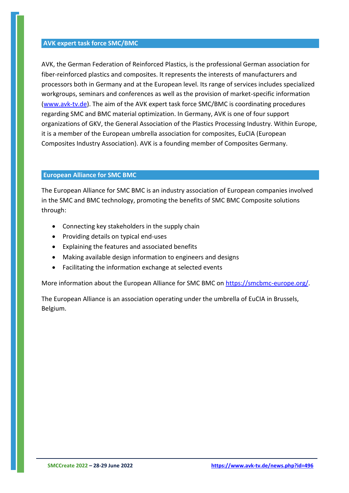### **AVK expert task force SMC/BMC**

AVK, the German Federation of Reinforced Plastics, is the professional German association for fiber-reinforced plastics and composites. It represents the interests of manufacturers and processors both in Germany and at the European level. Its range of services includes specialized workgroups, seminars and conferences as well as the provision of market-specific information [\(www.avk-tv.de\)](http://www.avk-tv.de/). The aim of the AVK expert task force SMC/BMC is coordinating procedures regarding SMC and BMC material optimization. In Germany, AVK is one of four support organizations of GKV, the General Association of the Plastics Processing Industry. Within Europe, it is a member of the European umbrella association for composites, EuCIA (European Composites Industry Association). AVK is a founding member of Composites Germany.

#### **European Alliance for SMC BMC**

The European Alliance for SMC BMC is an industry association of European companies involved in the SMC and BMC technology, promoting the benefits of SMC BMC Composite solutions through:

- Connecting key stakeholders in the supply chain
- Providing details on typical end-uses
- Explaining the features and associated benefits
- Making available design information to engineers and designs
- Facilitating the information exchange at selected events

More information about the European Alliance for SMC BMC on [https://smcbmc-europe.org/.](https://smcbmc-europe.org/)

The European Alliance is an association operating under the umbrella of EuCIA in Brussels, Belgium.